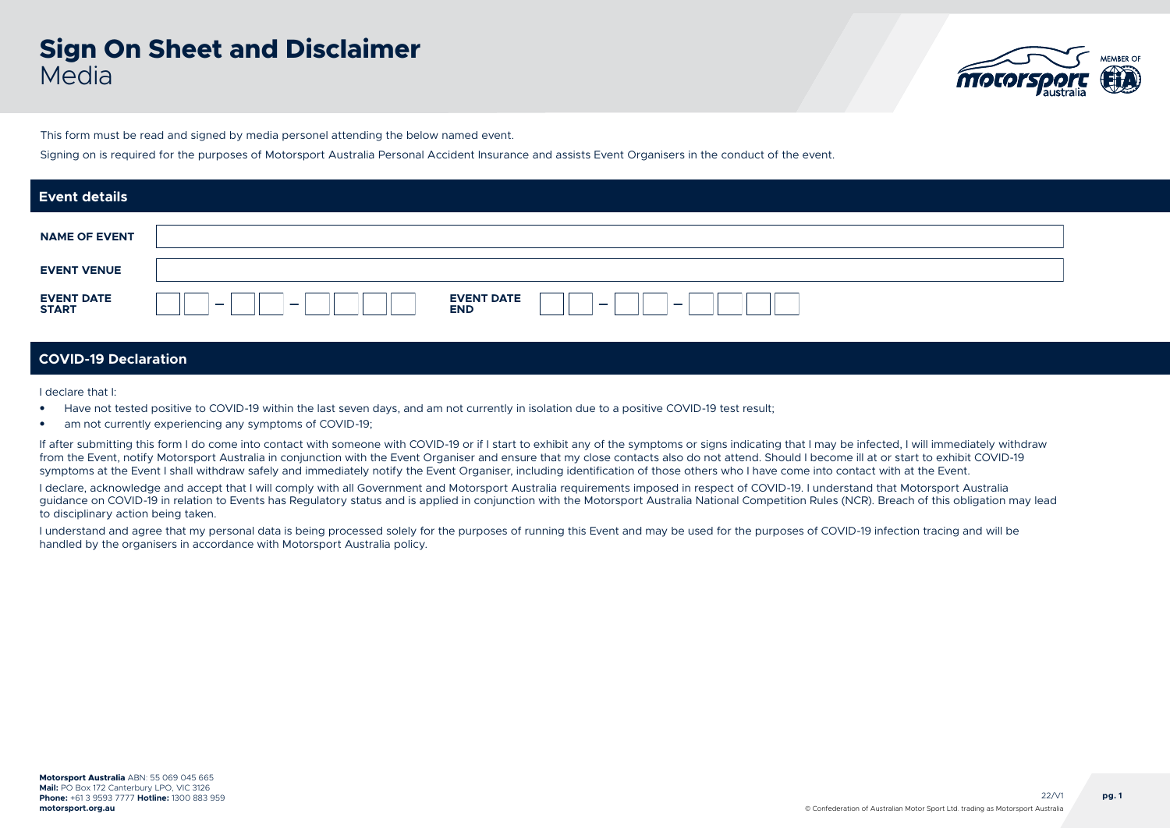# **Sign On Sheet and Disclaimer** Media



This form must be read and signed by media personel attending the below named event.

Signing on is required for the purposes of Motorsport Australia Personal Accident Insurance and assists Event Organisers in the conduct of the event.

| <b>Event details</b>              |                                                                                                                     |
|-----------------------------------|---------------------------------------------------------------------------------------------------------------------|
| <b>NAME OF EVENT</b>              |                                                                                                                     |
| <b>EVENT VENUE</b>                |                                                                                                                     |
| <b>EVENT DATE</b><br><b>START</b> | <b>EVENT DATE</b><br>$\overline{\phantom{0}}$<br>$\overline{\phantom{0}}$<br>$\overline{\phantom{0}}$<br><b>END</b> |

### **COVID-19 Declaration**

I declare that I:

- Have not tested positive to COVID-19 within the last seven days, and am not currently in isolation due to a positive COVID-19 test result;
- am not currently experiencing any symptoms of COVID-19;

If after submitting this form I do come into contact with someone with COVID-19 or if I start to exhibit any of the symptoms or signs indicating that I may be infected. I will immediately withdraw from the Event, notify Motorsport Australia in conjunction with the Event Organiser and ensure that my close contacts also do not attend. Should I become ill at or start to exhibit COVID-19 symptoms at the Event I shall withdraw safely and immediately notify the Event Organiser, including identification of those others who I have come into contact with at the Event.

I declare, acknowledge and accept that I will comply with all Government and Motorsport Australia requirements imposed in respect of COVID-19. I understand that Motorsport Australia guidance on COVID-19 in relation to Events has Regulatory status and is applied in conjunction with the Motorsport Australia National Competition Rules (NCR). Breach of this obligation may lead to disciplinary action being taken.

I understand and agree that my personal data is being processed solely for the purposes of running this Event and may be used for the purposes of COVID-19 infection tracing and will be handled by the organisers in accordance with Motorsport Australia policy.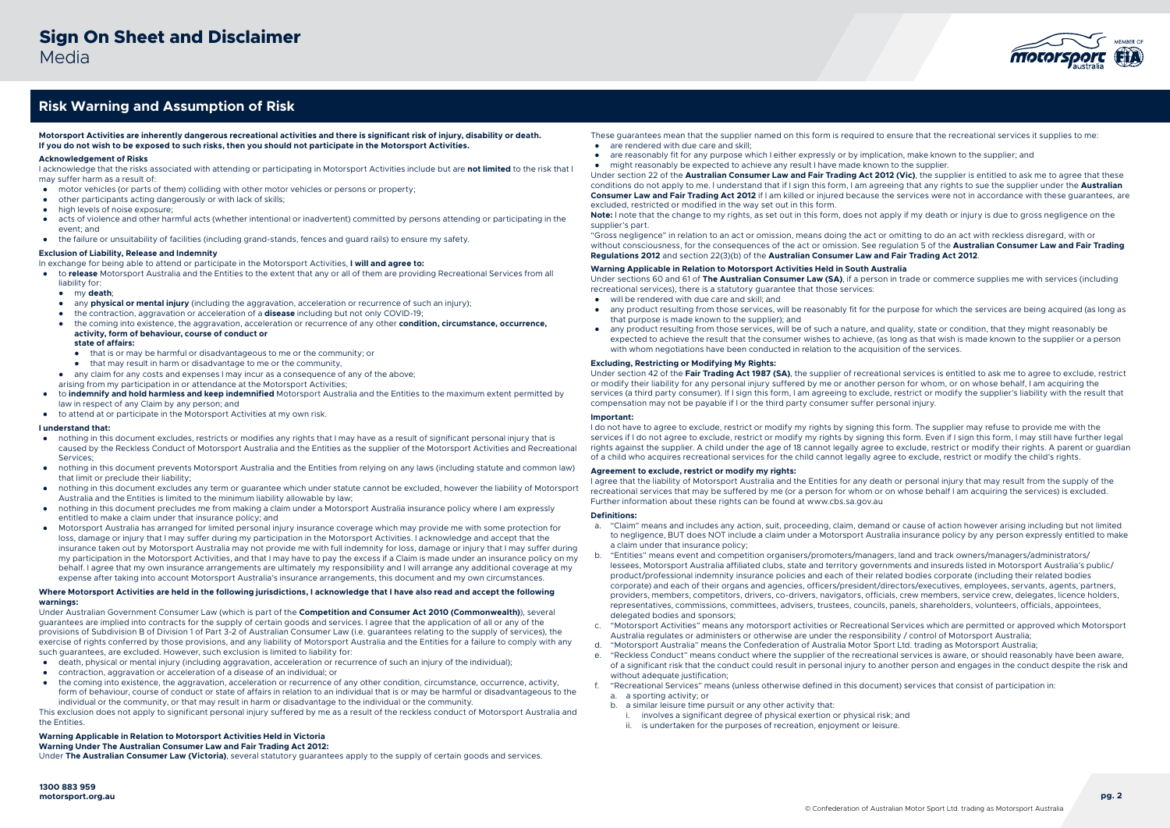

## **Risk Warning and Assumption of Risk**

**Motorsport Activities are inherently dangerous recreational activities and there is significant risk of injury, disability or death. If you do not wish to be exposed to such risks, then you should not participate in the Motorsport Activities.**

#### **Acknowledgement of Risks**

I acknowledge that the risks associated with attending or participating in Motorsport Activities include but are **not limited** to the risk that I may suffer harm as a result of:

- motor vehicles (or parts of them) colliding with other motor vehicles or persons or property;
- other participants acting dangerously or with lack of skills;
- high levels of noise exposure;
- acts of violence and other harmful acts (whether intentional or inadvertent) committed by persons attending or participating in the event; and
- the failure or unsuitability of facilities (including grand-stands, fences and guard rails) to ensure my safety.

#### **Exclusion of Liability, Release and Indemnity**

- In exchange for being able to attend or participate in the Motorsport Activities, **I will and agree to:**
- to **release** Motorsport Australia and the Entities to the extent that any or all of them are providing Recreational Services from all liability for:
	- my **death**;
	- any **physical or mental injury** (including the aggravation, acceleration or recurrence of such an injury);
	- the contraction, aggravation or acceleration of a **disease** including but not only COVID-19;
	- the coming into existence, the aggravation, acceleration or recurrence of any other **condition, circumstance, occurrence, activity, form of behaviour, course of conduct or**

### **state of affairs:**

- that is or may be harmful or disadvantageous to me or the community; or
- that may result in harm or disadvantage to me or the community,
- any claim for any costs and expenses I may incur as a consequence of any of the above;
- arising from my participation in or attendance at the Motorsport Activities;
- to **indemnify and hold harmless and keep indemnified** Motorsport Australia and the Entities to the maximum extent permitted by law in respect of any Claim by any person; and
- to attend at or participate in the Motorsport Activities at my own risk.

#### **I understand that:**

- nothing in this document excludes, restricts or modifies any rights that I may have as a result of significant personal injury that is caused by the Reckless Conduct of Motorsport Australia and the Entities as the supplier of the Motorsport Activities and Recreational **Services**
- nothing in this document prevents Motorsport Australia and the Entities from relying on any laws (including statute and common law) that limit or preclude their liability;
- nothing in this document excludes any term or guarantee which under statute cannot be excluded, however the liability of Motorsport Australia and the Entities is limited to the minimum liability allowable by law;
- nothing in this document precludes me from making a claim under a Motorsport Australia insurance policy where I am expressly entitled to make a claim under that insurance policy; and
- Motorsport Australia has arranged for limited personal injury insurance coverage which may provide me with some protection for loss, damage or injury that I may suffer during my participation in the Motorsport Activities. I acknowledge and accept that the insurance taken out by Motorsport Australia may not provide me with full indemnity for loss, damage or injury that I may suffer during my participation in the Motorsport Activities, and that I may have to pay the excess if a Claim is made under an insurance policy on my behalf. I agree that my own insurance arrangements are ultimately my responsibility and I will arrange any additional coverage at my expense after taking into account Motorsport Australia's insurance arrangements, this document and my own circumstances.

#### **Where Motorsport Activities are held in the following jurisdictions, I acknowledge that I have also read and accept the following warnings:**

Under Australian Government Consumer Law (which is part of the **Competition and Consumer Act 2010 (Commonwealth)**), several guarantees are implied into contracts for the supply of certain goods and services. I agree that the application of all or any of the provisions of Subdivision B of Division 1 of Part 3-2 of Australian Consumer Law (i.e. guarantees relating to the supply of services), the exercise of rights conferred by those provisions, and any liability of Motorsport Australia and the Entities for a failure to comply with any such guarantees, are excluded. However, such exclusion is limited to liability for:

- death, physical or mental injury (including aggravation, acceleration or recurrence of such an injury of the individual);
- contraction, aggravation or acceleration of a disease of an individual; or
- the coming into existence, the aggravation, acceleration or recurrence of any other condition, circumstance, occurrence, activity, form of behaviour, course of conduct or state of affairs in relation to an individual that is or may be harmful or disadvantageous to the individual or the community, or that may result in harm or disadvantage to the individual or the community.

This exclusion does not apply to significant personal injury suffered by me as a result of the reckless conduct of Motorsport Australia and the Entities.

#### **Warning Applicable in Relation to Motorsport Activities Held in Victoria**

**Warning Under The Australian Consumer Law and Fair Trading Act 2012:** 

Under **The Australian Consumer Law (Victoria)**, several statutory guarantees apply to the supply of certain goods and services.

- These guarantees mean that the supplier named on this form is required to ensure that the recreational services it supplies to me:
- are rendered with due care and skill;
- are reasonably fit for any purpose which I either expressly or by implication, make known to the supplier; and
- might reasonably be expected to achieve any result I have made known to the supplier.

Under section 22 of the **Australian Consumer Law and Fair Trading Act 2012 (Vic)**, the supplier is entitled to ask me to agree that these conditions do not apply to me. I understand that if I sign this form, I am agreeing that any rights to sue the supplier under the **Australian Consumer Law and Fair Trading Act 2012** if I am killed or injured because the services were not in accordance with these guarantees, are excluded, restricted or modified in the way set out in this form.

Note: I note that the change to my rights, as set out in this form, does not apply if my death or injury is due to gross negligence on the supplier's part.

"Gross negligence" in relation to an act or omission, means doing the act or omitting to do an act with reckless disregard, with or without consciousness, for the consequences of the act or omission. See regulation 5 of the **Australian Consumer Law and Fair Trading Regulations 2012** and section 22(3)(b) of the **Australian Consumer Law and Fair Trading Act 2012**.

### **Warning Applicable in Relation to Motorsport Activities Held in South Australia**

Under sections 60 and 61 of **The Australian Consumer Law (SA)**, if a person in trade or commerce supplies me with services (including recreational services), there is a statutory guarantee that those services:

- will be rendered with due care and skill; and
- any product resulting from those services, will be reasonably fit for the purpose for which the services are being acquired (as long as that purpose is made known to the supplier); and
- any product resulting from those services, will be of such a nature, and quality, state or condition, that they might reasonably be expected to achieve the result that the consumer wishes to achieve, (as long as that wish is made known to the supplier or a person with whom negotiations have been conducted in relation to the acquisition of the services.

#### **Excluding, Restricting or Modifying My Rights:**

Under section 42 of the **Fair Trading Act 1987 (SA)**, the supplier of recreational services is entitled to ask me to agree to exclude, restrict or modify their liability for any personal injury suffered by me or another person for whom, or on whose behalf, I am acquiring the services (a third party consumer). If I sign this form, I am agreeing to exclude, restrict or modify the supplier's liability with the result that compensation may not be payable if I or the third party consumer suffer personal injury.

#### **Important:**

I do not have to agree to exclude, restrict or modify my rights by signing this form. The supplier may refuse to provide me with the services if I do not agree to exclude, restrict or modify my rights by signing this form. Even if I sign this form, I may still have further legal rights against the supplier. A child under the age of 18 cannot legally agree to exclude, restrict or modify their rights. A parent or guardian of a child who acquires recreational services for the child cannot legally agree to exclude, restrict or modify the child's rights.

#### **Agreement to exclude, restrict or modify my rights:**

I agree that the liability of Motorsport Australia and the Entities for any death or personal injury that may result from the supply of the recreational services that may be suffered by me (or a person for whom or on whose behalf I am acquiring the services) is excluded. Further information about these rights can be found at www.cbs.sa.gov.au

#### **Definitions:**

- a. "Claim" means and includes any action, suit, proceeding, claim, demand or cause of action however arising including but not limited to negligence, BUT does NOT include a claim under a Motorsport Australia insurance policy by any person expressly entitled to make a claim under that insurance policy;
- b. "Entities" means event and competition organisers/promoters/managers, land and track owners/managers/administrators/ lessees, Motorsport Australia affiliated clubs, state and territory governments and insureds listed in Motorsport Australia's public/ product/professional indemnity insurance policies and each of their related bodies corporate (including their related bodies corporate) and each of their organs and agencies, officers/president/directors/executives, employees, servants, agents, partners, providers, members, competitors, drivers, co-drivers, navigators, officials, crew members, service crew, delegates, licence holders, representatives, commissions, committees, advisers, trustees, councils, panels, shareholders, volunteers, officials, appointees, delegated bodies and sponsors;
- c. "Motorsport Activities" means any motorsport activities or Recreational Services which are permitted or approved which Motorsport Australia regulates or administers or otherwise are under the responsibility / control of Motorsport Australia;
- "Motorsport Australia" means the Confederation of Australia Motor Sport Ltd. trading as Motorsport Australia
- e. "Reckless Conduct" means conduct where the supplier of the recreational services is aware, or should reasonably have been aware, of a significant risk that the conduct could result in personal injury to another person and engages in the conduct despite the risk and without adequate justification:
- f. "Recreational Services" means (unless otherwise defined in this document) services that consist of participation in:
	- a. a sporting activity; or
	- b. a similar leisure time pursuit or any other activity that:
		- involves a significant degree of physical exertion or physical risk; and
		- ii. is undertaken for the purposes of recreation, enjoyment or leisure.